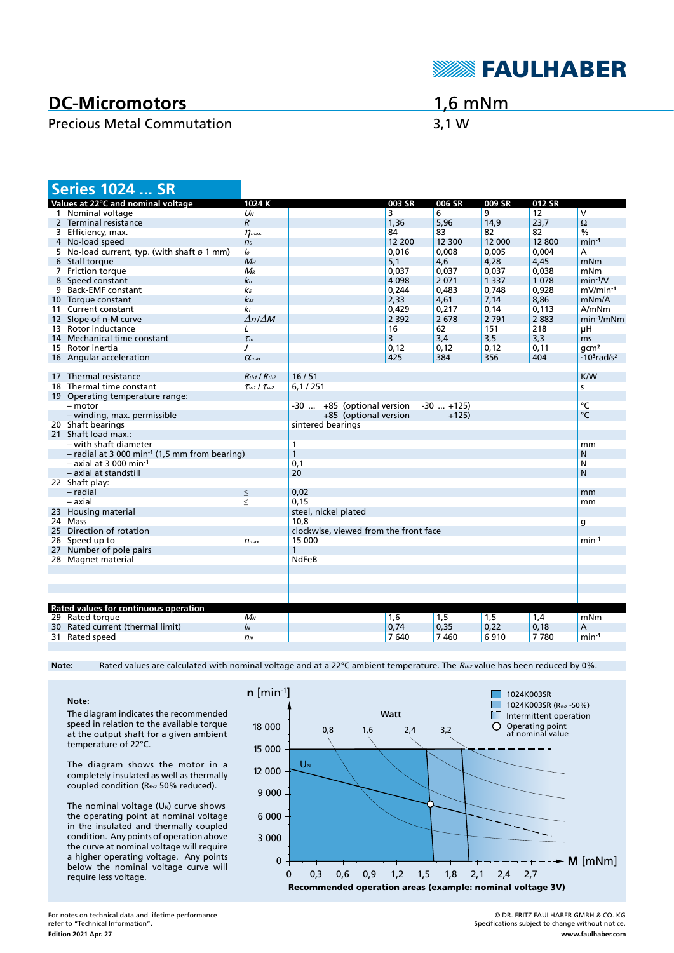

# **DC-Micromotors**

### Precious Metal Commutation 3,1 W

# 1,6 mNm

|                                                             | <b>Series 1024  SR</b>                      |                           |                                       |         |              |         |        |                                            |
|-------------------------------------------------------------|---------------------------------------------|---------------------------|---------------------------------------|---------|--------------|---------|--------|--------------------------------------------|
|                                                             | Values at 22°C and nominal voltage          | 1024K                     |                                       | 003 SR  | 006 SR       | 009 SR  | 012 SR |                                            |
|                                                             | 1 Nominal voltage                           | $U_N$                     |                                       | 3       | 6            | 9       | 12     | $\overline{V}$                             |
|                                                             | 2 Terminal resistance                       | $\boldsymbol{R}$          |                                       | 1,36    | 5,96         | 14,9    | 23,7   | $\Omega$                                   |
|                                                             | 3 Efficiency, max.                          | $\eta$ <sub>max</sub>     |                                       | 84      | 83           | 82      | 82     | $\frac{0}{0}$                              |
|                                                             | 4 No-load speed                             | n <sub>o</sub>            |                                       | 12 200  | 12 300       | 12 000  | 12800  | $min-1$                                    |
|                                                             | 5 No-load current, typ. (with shaft ø 1 mm) | lo                        |                                       | 0,016   | 0,008        | 0,005   | 0,004  | A                                          |
|                                                             | 6 Stall torque                              | $M_H$                     |                                       | 5,1     | 4,6          | 4,28    | 4,45   | mNm                                        |
|                                                             | 7 Friction torque                           | $M_{R}$                   |                                       | 0,037   | 0,037        | 0,037   | 0,038  | mNm                                        |
|                                                             | 8 Speed constant                            | $k_{n}$                   |                                       | 4 0 9 8 | 2071         | 1 3 3 7 | 1078   | $min-1/V$                                  |
|                                                             | 9 Back-EMF constant                         | kЕ                        |                                       | 0,244   | 0,483        | 0,748   | 0,928  | $mV/min-1$                                 |
|                                                             | 10 Torque constant                          | $k_{M}$                   |                                       | 2,33    | 4,61         | 7,14    | 8,86   | mNm/A                                      |
|                                                             | 11 Current constant                         | kı                        |                                       | 0.429   | 0.217        | 0.14    | 0.113  | A/mNm                                      |
|                                                             | 12 Slope of n-M curve                       | $\Delta n / \Delta M$     |                                       | 2 3 9 2 | 2678         | 2 7 9 1 | 2883   | $min-1/mNm$                                |
|                                                             | 13 Rotor inductance                         | L                         |                                       | 16      | 62           | 151     | 218    | μH                                         |
|                                                             | 14 Mechanical time constant                 | $\tau_m$                  |                                       | 3       | 3,4          | 3,5     | 3,3    | ms                                         |
|                                                             | 15 Rotor inertia                            | $\prime$                  |                                       | 0,12    | 0,12         | 0,12    | 0,11   | qcm <sup>2</sup>                           |
|                                                             | 16 Angular acceleration                     | $\alpha$ <sub>max</sub>   |                                       | 425     | 384          | 356     | 404    | $\cdot$ 10 <sup>3</sup> rad/s <sup>2</sup> |
|                                                             |                                             |                           |                                       |         |              |         |        |                                            |
|                                                             | 17 Thermal resistance                       | $R_{th1}$ / $R_{th2}$     | 16/51                                 |         |              |         |        | <b>K/W</b>                                 |
|                                                             | 18 Thermal time constant                    | $\tau_{w1}$ / $\tau_{w2}$ | 6,1/251<br>s                          |         |              |         |        |                                            |
|                                                             | 19 Operating temperature range:             |                           |                                       |         |              |         |        |                                            |
|                                                             | - motor                                     |                           | -30  +85 (optional version            |         | $-30$ $+125$ |         |        | $\overline{C}$                             |
|                                                             | - winding, max. permissible                 |                           | +85 (optional version                 |         | $+125$       |         |        | $\circ$ C                                  |
|                                                             | 20 Shaft bearings                           | sintered bearings         |                                       |         |              |         |        |                                            |
|                                                             | 21 Shaft load max.:                         |                           |                                       |         |              |         |        |                                            |
|                                                             | – with shaft diameter                       |                           | $\mathbf{1}$                          |         |              |         |        | mm                                         |
| $-$ radial at 3 000 min <sup>-1</sup> (1,5 mm from bearing) |                                             |                           | $\mathbf{1}$                          |         |              |         | N      |                                            |
|                                                             | $-$ axial at 3 000 min-1                    |                           | 0.1                                   |         |              |         |        | N                                          |
|                                                             | - axial at standstill                       |                           | 20                                    |         |              |         |        | N                                          |
|                                                             | 22 Shaft play:                              |                           |                                       |         |              |         |        |                                            |
|                                                             | - radial                                    | $\leq$                    | 0,02                                  |         |              |         |        | mm                                         |
|                                                             | – axial                                     | $\leq$                    | 0,15                                  |         |              |         |        | mm                                         |
|                                                             | 23 Housing material                         |                           | steel, nickel plated                  |         |              |         |        |                                            |
|                                                             | 24 Mass                                     |                           | 10.8                                  |         |              |         |        | g                                          |
|                                                             | 25 Direction of rotation                    |                           | clockwise, viewed from the front face |         |              |         |        |                                            |
|                                                             | 26 Speed up to                              | $n_{max.}$                | $min-1$<br>15 000                     |         |              |         |        |                                            |
|                                                             | 27 Number of pole pairs                     |                           | 1                                     |         |              |         |        |                                            |
|                                                             | 28 Magnet material                          |                           | <b>NdFeB</b>                          |         |              |         |        |                                            |
|                                                             |                                             |                           |                                       |         |              |         |        |                                            |
|                                                             |                                             |                           |                                       |         |              |         |        |                                            |
|                                                             |                                             |                           |                                       |         |              |         |        |                                            |
|                                                             |                                             |                           |                                       |         |              |         |        |                                            |
|                                                             | Rated values for continuous operation       |                           |                                       |         |              |         |        |                                            |
|                                                             | 29 Rated torque                             | $M_N$                     |                                       | 1,6     | 1,5          | 1,5     | 1,4    | mNm                                        |
|                                                             | 30 Rated current (thermal limit)            | $\mathbf{I}$              |                                       | 0,74    | 0,35         | 0,22    | 0,18   | А                                          |
|                                                             | 31 Rated speed                              | n <sub>N</sub>            |                                       | 7 640   | 7460         | 6910    | 7780   | $min-1$                                    |
|                                                             |                                             |                           |                                       |         |              |         |        |                                            |

Note: Rated values are calculated with nominal voltage and at a 22°C ambient temperature. The R<sub>th2</sub> value has been reduced by 0%.

**Note:** The diagram indicates the recommended speed in relation to the available torque at the output shaft for a given ambient temperature of 22°C.

The diagram shows the motor in a completely insulated as well as thermally coupled condition (Rth2 50% reduced).

The nominal voltage  $(U<sub>N</sub>)$  curve shows the operating point at nominal voltage in the insulated and thermally coupled condition. Any points of operation above the curve at nominal voltage will require a higher operating voltage. Any points below the nominal voltage curve will require less voltage.